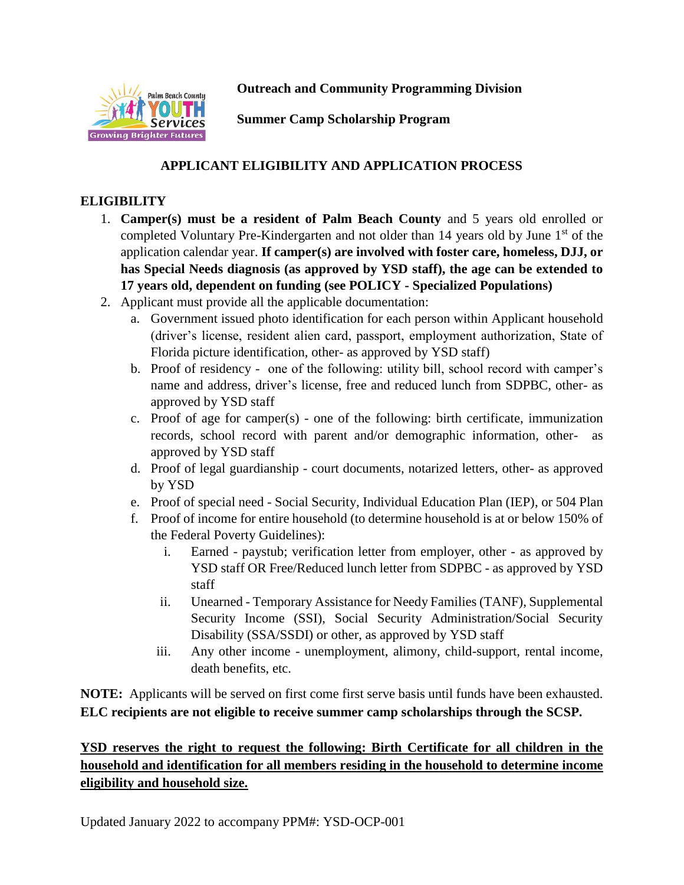

**Outreach and Community Programming Division**

**Summer Camp Scholarship Program**

## **APPLICANT ELIGIBILITY AND APPLICATION PROCESS**

## **ELIGIBILITY**

- 1. **Camper(s) must be a resident of Palm Beach County** and 5 years old enrolled or completed Voluntary Pre-Kindergarten and not older than 14 years old by June 1<sup>st</sup> of the application calendar year. **If camper(s) are involved with foster care, homeless, DJJ, or has Special Needs diagnosis (as approved by YSD staff), the age can be extended to 17 years old, dependent on funding (see POLICY - Specialized Populations)**
- 2. Applicant must provide all the applicable documentation:
	- a. Government issued photo identification for each person within Applicant household (driver's license, resident alien card, passport, employment authorization, State of Florida picture identification, other- as approved by YSD staff)
	- b. Proof of residency one of the following: utility bill, school record with camper's name and address, driver's license, free and reduced lunch from SDPBC, other- as approved by YSD staff
	- c. Proof of age for camper(s) one of the following: birth certificate, immunization records, school record with parent and/or demographic information, otherapproved by YSD staff
	- d. Proof of legal guardianship court documents, notarized letters, other- as approved by YSD
	- e. Proof of special need Social Security, Individual Education Plan (IEP), or 504 Plan
	- f. Proof of income for entire household (to determine household is at or below 150% of the Federal Poverty Guidelines):
		- i. Earned paystub; verification letter from employer, other as approved by YSD staff OR Free/Reduced lunch letter from SDPBC - as approved by YSD staff
		- ii. Unearned Temporary Assistance for Needy Families (TANF), Supplemental Security Income (SSI), Social Security Administration/Social Security Disability (SSA/SSDI) or other, as approved by YSD staff
		- iii. Any other income unemployment, alimony, child-support, rental income, death benefits, etc.

**NOTE:** Applicants will be served on first come first serve basis until funds have been exhausted. **ELC recipients are not eligible to receive summer camp scholarships through the SCSP.**

## **YSD reserves the right to request the following: Birth Certificate for all children in the household and identification for all members residing in the household to determine income eligibility and household size.**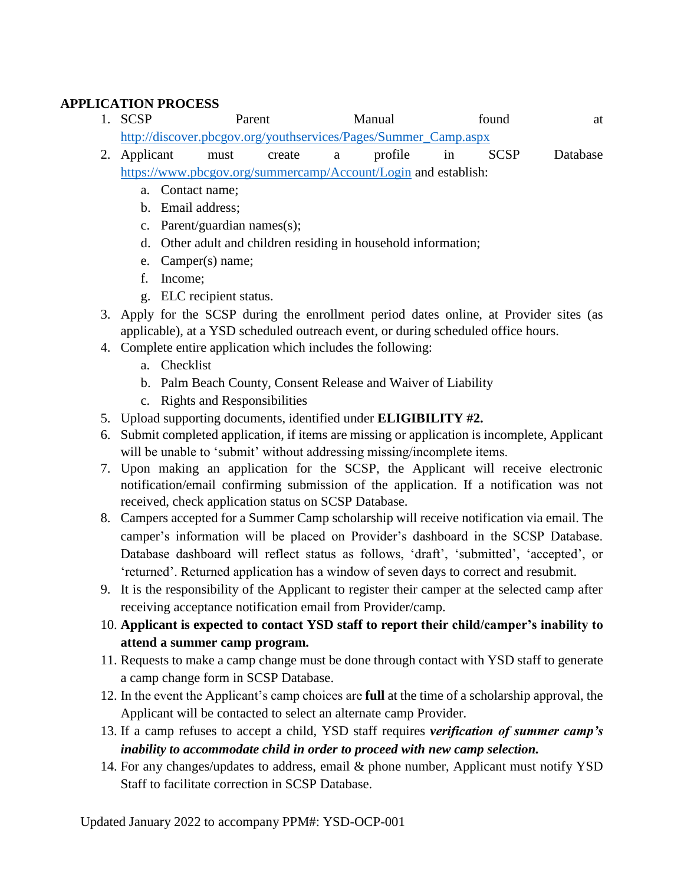## **APPLICATION PROCESS**

- 1. SCSP Parent Manual found at [http://discover.pbcgov.org/youthservices/Pages/Summer\\_Camp.aspx](http://discover.pbcgov.org/youthservices/Pages/Summer_Camp.aspx) 2. Applicant must create a profile in SCSP Database
	- <https://www.pbcgov.org/summercamp/Account/Login> and establish:
		- a. Contact name;
		- b. Email address;
		- c. Parent/guardian names(s);
		- d. Other adult and children residing in household information;
		- e. Camper(s) name;
		- f. Income;
		- g. ELC recipient status.
- 3. Apply for the SCSP during the enrollment period dates online, at Provider sites (as applicable), at a YSD scheduled outreach event, or during scheduled office hours.
- 4. Complete entire application which includes the following:
	- a. Checklist
	- b. Palm Beach County, Consent Release and Waiver of Liability
	- c. Rights and Responsibilities
- 5. Upload supporting documents, identified under **ELIGIBILITY #2.**
- 6. Submit completed application, if items are missing or application is incomplete, Applicant will be unable to 'submit' without addressing missing/incomplete items.
- 7. Upon making an application for the SCSP, the Applicant will receive electronic notification/email confirming submission of the application. If a notification was not received, check application status on SCSP Database.
- 8. Campers accepted for a Summer Camp scholarship will receive notification via email. The camper's information will be placed on Provider's dashboard in the SCSP Database. Database dashboard will reflect status as follows, 'draft', 'submitted', 'accepted', or 'returned'. Returned application has a window of seven days to correct and resubmit.
- 9. It is the responsibility of the Applicant to register their camper at the selected camp after receiving acceptance notification email from Provider/camp.
- 10. **Applicant is expected to contact YSD staff to report their child/camper's inability to attend a summer camp program.**
- 11. Requests to make a camp change must be done through contact with YSD staff to generate a camp change form in SCSP Database.
- 12. In the event the Applicant's camp choices are **full** at the time of a scholarship approval, the Applicant will be contacted to select an alternate camp Provider.
- 13. If a camp refuses to accept a child, YSD staff requires *verification of summer camp's inability to accommodate child in order to proceed with new camp selection.*
- 14. For any changes/updates to address, email & phone number, Applicant must notify YSD Staff to facilitate correction in SCSP Database.